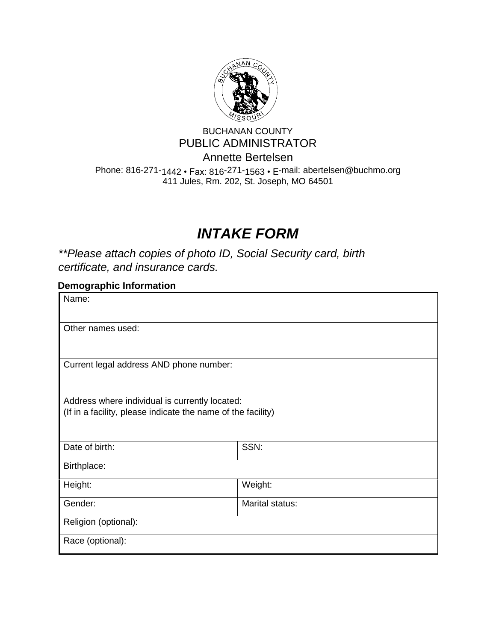

# BUCHANAN COUNTY PUBLIC ADMINISTRATOR Annette Bertelsen

Phone: 816-271-1442 • Fax: 816-271-1563 • E-mail: abertelsen@buchmo.org 411 Jules, Rm. 202, St. Joseph, MO 64501

# *INTAKE FORM*

*\*\*Please attach copies of photo ID, Social Security card, birth certificate, and insurance cards.* 

| <b>Demographic Information</b>                               |                 |  |
|--------------------------------------------------------------|-----------------|--|
| Name:                                                        |                 |  |
|                                                              |                 |  |
| Other names used:                                            |                 |  |
|                                                              |                 |  |
| Current legal address AND phone number:                      |                 |  |
|                                                              |                 |  |
| Address where individual is currently located:               |                 |  |
| (If in a facility, please indicate the name of the facility) |                 |  |
|                                                              |                 |  |
| Date of birth:                                               | SSN:            |  |
| Birthplace:                                                  |                 |  |
| Height:                                                      | Weight:         |  |
| Gender:                                                      | Marital status: |  |
| Religion (optional):                                         |                 |  |
| Race (optional):                                             |                 |  |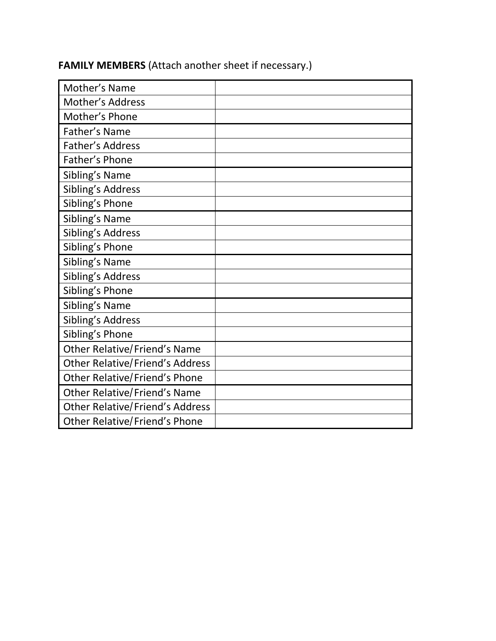| Mother's Name                          |  |
|----------------------------------------|--|
| <b>Mother's Address</b>                |  |
| Mother's Phone                         |  |
| Father's Name                          |  |
| Father's Address                       |  |
| Father's Phone                         |  |
| Sibling's Name                         |  |
| Sibling's Address                      |  |
| Sibling's Phone                        |  |
| Sibling's Name                         |  |
| Sibling's Address                      |  |
| Sibling's Phone                        |  |
| Sibling's Name                         |  |
| Sibling's Address                      |  |
| Sibling's Phone                        |  |
| Sibling's Name                         |  |
| Sibling's Address                      |  |
| Sibling's Phone                        |  |
| <b>Other Relative/Friend's Name</b>    |  |
| <b>Other Relative/Friend's Address</b> |  |
| <b>Other Relative/Friend's Phone</b>   |  |
| <b>Other Relative/Friend's Name</b>    |  |
| <b>Other Relative/Friend's Address</b> |  |
| <b>Other Relative/Friend's Phone</b>   |  |

# **FAMILY MEMBERS** (Attach another sheet if necessary.)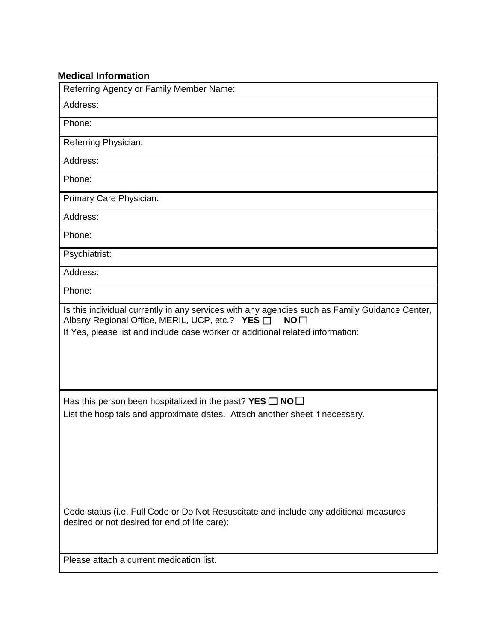### **Medical Information**

| Referring Agency or Family Member Name:                                                                                                                                                                                                                |  |
|--------------------------------------------------------------------------------------------------------------------------------------------------------------------------------------------------------------------------------------------------------|--|
| Address:                                                                                                                                                                                                                                               |  |
| Phone:                                                                                                                                                                                                                                                 |  |
| Referring Physician:                                                                                                                                                                                                                                   |  |
| Address:                                                                                                                                                                                                                                               |  |
| Phone:                                                                                                                                                                                                                                                 |  |
| Primary Care Physician:                                                                                                                                                                                                                                |  |
| Address:                                                                                                                                                                                                                                               |  |
| Phone:                                                                                                                                                                                                                                                 |  |
| Psychiatrist:                                                                                                                                                                                                                                          |  |
| Address:                                                                                                                                                                                                                                               |  |
| Phone:                                                                                                                                                                                                                                                 |  |
| Is this individual currently in any services with any agencies such as Family Guidance Center,<br>Albany Regional Office, MERIL, UCP, etc.? YES □<br>NO <sub>1</sub><br>If Yes, please list and include case worker or additional related information: |  |
| Has this person been hospitalized in the past? YES $\square$ NO $\square$<br>List the hospitals and approximate dates. Attach another sheet if necessary.                                                                                              |  |
|                                                                                                                                                                                                                                                        |  |
| Code status (i.e. Full Code or Do Not Resuscitate and include any additional measures<br>desired or not desired for end of life care):<br>Please attach a current medication list.                                                                     |  |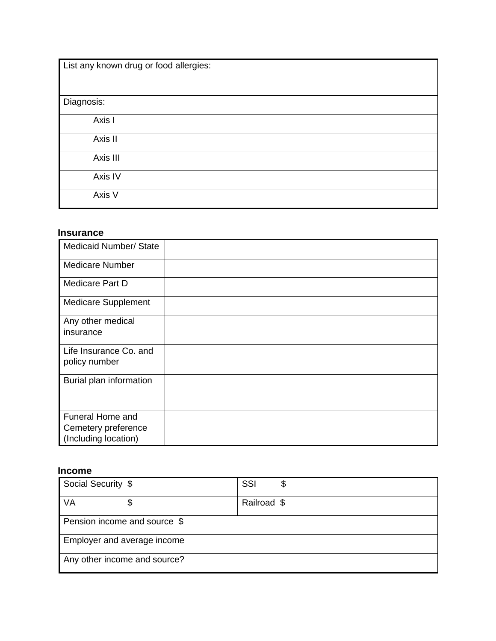| List any known drug or food allergies: |  |
|----------------------------------------|--|
| Diagnosis:                             |  |
| Axis I                                 |  |
| Axis II                                |  |
| Axis III                               |  |
|                                        |  |
| Axis IV                                |  |
| Axis V                                 |  |

#### **Insurance**

| <b>Medicaid Number/ State</b>                                          |  |
|------------------------------------------------------------------------|--|
| <b>Medicare Number</b>                                                 |  |
| Medicare Part D                                                        |  |
| <b>Medicare Supplement</b>                                             |  |
| Any other medical<br>insurance                                         |  |
| Life Insurance Co. and<br>policy number                                |  |
| Burial plan information                                                |  |
| <b>Funeral Home and</b><br>Cemetery preference<br>(Including location) |  |

#### **Income**

| Social Security \$           | SSI         |
|------------------------------|-------------|
| VA                           | Railroad \$ |
| Pension income and source \$ |             |
| Employer and average income  |             |
| Any other income and source? |             |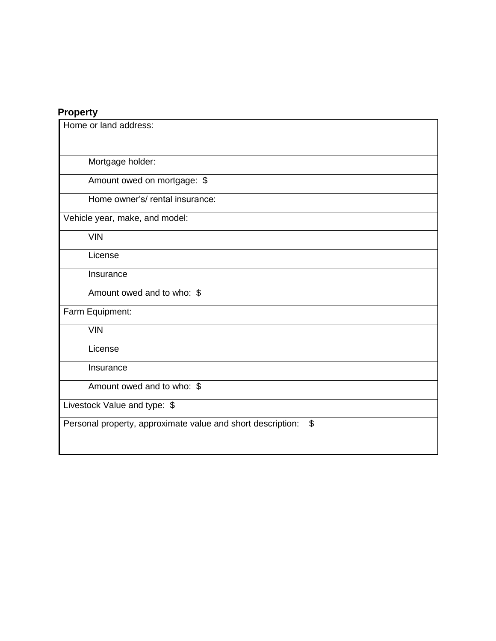#### **Property**

| Home or land address:                                                                    |
|------------------------------------------------------------------------------------------|
| Mortgage holder:                                                                         |
| Amount owed on mortgage: \$                                                              |
| Home owner's/ rental insurance:                                                          |
| Vehicle year, make, and model:                                                           |
| <b>VIN</b>                                                                               |
| License                                                                                  |
| Insurance                                                                                |
| Amount owed and to who: \$                                                               |
| Farm Equipment:                                                                          |
| <b>VIN</b>                                                                               |
| License                                                                                  |
| Insurance                                                                                |
| Amount owed and to who: \$                                                               |
| Livestock Value and type: \$                                                             |
| $\boldsymbol{\mathsf{S}}$<br>Personal property, approximate value and short description: |